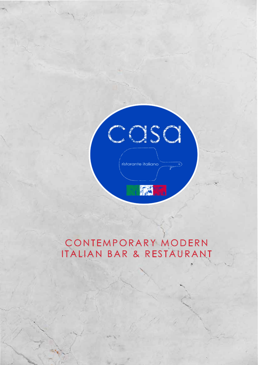

## CONTEMPORARY MODERN ITALIAN BAR & RESTAURANT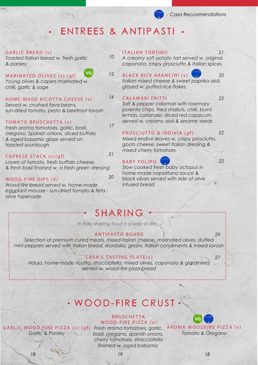## ENTREES & ANTIPASTI

#### GARLIC BREAD (v)

*Toasted Italian bread w. fresh garlic & parsley*

MARINATED OLIVES (v) (gf)

*Young olives & capers marinated w. chilli, garlic & sage*

#### HOME-MADE RICOTTA CHEESE (v)

*Served w. crushed fava beans, sun-dried tomato, pesto & beetroot lavosh*

#### TOMATO BRUSCHETTA (v)

*Fresh aroma tomatoes, garlic, basil, oregano, Spanish onions, diced buffalo & aged basamic glaze served on toasted sourdough* 

#### CAPRESE STACK (v)(gf)

*Layers of tomato, fresh buffalo cheese, & fresh basil finished w. a fresh green dressing*

#### WOOD-FIRE DIPS (V)

*Wood-fire bread served w. home-made eggplant mousse - sun-dried tomato & feta olive tapenade* 

#### ITALIAN TORTINO

*A creamy soft potato tart served w. original caponata, crispy prosciutto & Italian spices*



*14*

*17*

*21*

*20*

*10*

### BLACK RICE ARANCINI (v)

*21*

*20* 

*22*

*22*

*22*

*Italian mixed cheese & sweet paprika aioli, glazed w. puffed rice flakes*

#### CALAMARI FRITTI

*Salt & pepper calamari with rosemary polenta chips, fried shallots, chilli, burnt lemon, coriander, sliced red capsicum, served w. creamy aioli & sesame seeds* 

#### PROSCIUTTO & INDIVIA (gf)

*Mixed endive leaves w. crispy prosciutto, goats cheese, sweet Italian dressing & mixed cherry tomatoes*

#### BABY POLIPO

*Slow cooked fresh baby octopus in home-made napolitana sauce & black olives served with side of olive infused bread*

*29* 

*27*

### SHARING

In Italy sharing food is a way of life...

#### ANTIPASTO BOARD

*Selection of premium cured meats, mixed Italian cheese, marinated olives, stuffed mini peppers served with Italian bread, skordalia, grissini, Italian condiments & mixed lavosh*

#### CASA'S TASTING PLATE(v)

*Nduja, home-made ricotta, stracciatella, mixed olives, caponata & giardiniera served w. wood-fire pizza bread*

## WOOD-FIRE CRUST

#### BRUSCHETTA WOOD-FIRE PIZZA (v)

*Garlic & Parsley*

GARLIC WOOD FIRE PIZZA (v) (gf) *Fresh aroma tomatoes, garlic,*  AROMA WOODFIRE PIZZA (v) *basil, oregano, spanish onions, cherry tomatoes, stracciatella finished w. aged balsamic*

*Tomato & Oregano*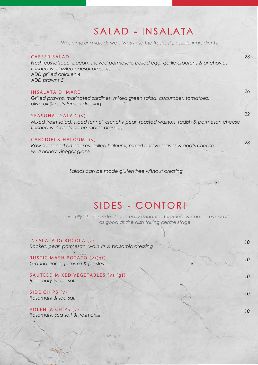## SALAD - INSALATA

When making salads we always use the freshest possible ingredients.

#### CAESER SALAD *Fresh cos lettuce, bacon, shaved parmesan, boiled egg, garlic croutons & anchovies finished w. drizzled caesar dressing ADD grilled chicken 4 ADD prawns 5* INSALATA DI MARE *Grilled prawns, marinated sardines, mixed green salad, cucumber, tomatoes, olive oil & zesty lemon dressing*  SEASONAL SALAD (v) *Mixed fresh salad, sliced fennel, crunchy pear, roasted walnuts, radish & parmesan cheese finished w. Casa's home-made dressing* CARCIOFI & HALOUMI (v) *Raw seasoned artichokes, grilled haloumi, mixed endive leaves & goats cheese w. a honey-vinegar glaze 23 26 22 23 Salads can be made gluten free without dressing*

## SIDES - CONTORI

carefully chosen side dishes really enhance the meal & can be every bit as good as the dish taking centre stage.

INSALATA Di RUCOLA (v) *Rocket, pear, parmesan, walnuts & balsamic dressing*

RUSTIC MASH POTATO (v)(gf) *Ground garlic, paprika & parsley* 

SAUTEED MIXED VEGETABLES (v) (gf) *Rosemary & sea salt*

SIDE CHIPS (v) *Rosemary & sea salt*

POLENTA CHIPS (v) *Rosemary, sea salt & fresh chilli* *10*

*10* 

*10*

*10*

*10*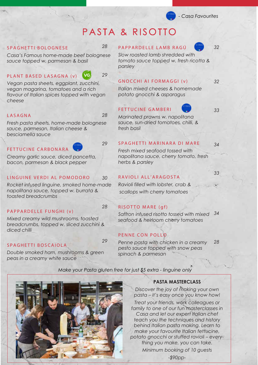## PASTA & RISOTTO

#### SPAGHETTI BOLOGNESE

*Casa's Famous home-made beef bolognese sauce topped w. parmesan & basil* 

#### PLANT BASED LASAGNA (v)



*28*

*29*

*28*

*29*

*30*

*28*

*29*

*Vegan pasta sheets, eggplant, zucchini, vegan magarina, tomatoes and a rich flavour of Italian spices topped with vegan cheese*

#### LASAGNA

*Fresh pasta sheets, home-made bolognese sauce, parmesan, Italian cheese & besciamella sauce*

#### FETTUCINE CARBONARA

*Creamy garlic sauce, diced pancetta, bacon, parmesan & black pepper* 

#### LINGUINE VERDI AL POMODORO

*Rocket infused linguine, smoked home-made napolitana sauce, topped w. burrata & toasted breadcrumbs*

#### PAPPARDELLE FUNGHI (v)

*Mixed creamy wild mushrooms, toasted breadcrumbs, topped w. sliced zucchini & diced chilli*

#### SPAGHETTI BOSCAIOLA

*Double smoked ham, mushrooms & green peas in a creamy white sauce* 

#### PAPPARDELLE LAMB RAGÚ

*32*

*32*

*33*

*Slow roasted lamb shredded with tomato sauce topped w. fresh ricotta & parsley* 

#### GNOCCHI AI FORMAGGI (v)

*Italian mixed cheeses & homemade potato gnocchi & asparagus*

### FETTUCINE GAMBERI

*Marinated prawns w. napolitana sauce, sun-dried tomatoes, chilli, & fresh basil*

#### SPAGHETTI MARINARA DI MARE

*34*

*33*

*Fresh mixed seafood tossed with napolitana sauce, cherry tomato, fresh herbs & parsley*

#### RAVIOLI ALL'ARAGOSTA

*Ravioli filled with lobster, crab & scallops with cherry tomatoes*

#### RISOTTO MARE (gf)

*Saffron infused risotto tossed with mixed 34 seafood & heirloom cherry tomatoes*

#### PENNE CON POLLO

*Penne pasta with chicken in a creamy pesto sauce topped with snow peas spinach & parmesan 28*



#### *Make your Pasta gluten free for just \$5 extra - linguine only*

#### **PASTA MASTERCLASS**

*Discover the joy of making your own pasta – it's easy once you know how!*

*Treat your friends, work colleagues or family to one of our fun masterclasses in Casa and let our expert Italian chef teach you the techniques and history behind Italian pasta making. Learn to make your favourite Italian fettucine, potato gnocchi or stuffed ravioli – everything you make, you can take. Minimum booking of 10 guests*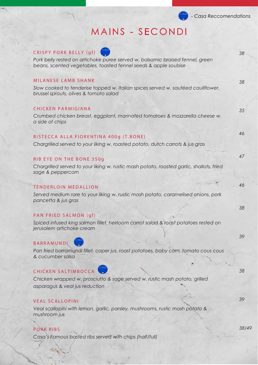## MAINS - SECONDI

| CRISPY PORK BELLY (gf)<br>Pork belly rested on artichoke puree served w. balsamic braised fennel, green<br>beans, scented vegetables, toasted fennel seeds & apple soubise | 38 |
|----------------------------------------------------------------------------------------------------------------------------------------------------------------------------|----|
| MILANESE LAMB SHANK<br>Slow cooked to tenderise topped w. Italian spices served w. sautéed cauliflower,<br>brussel sprouts, olives & tomato salad                          | 38 |
| <b>CHICKEN PARMIGIANA</b><br>Crumbed chicken breast, eggplant, marinated tomatoes & mozzarella cheese w.<br>a side of chips                                                | 35 |
| BISTECCA ALLA FIORENTINA 400g (T.BONE)<br>Chargrilled served to your liking w. roasted potato, dutch carrots & jus gras                                                    | 46 |
| RIB EYE ON THE BONE 350g<br>Chargrilled served to your liking w. rustic mash potato, roasted garlic, shallots, fried<br>sage & peppercorn                                  | 47 |
| <b>TENDERLOIN MEDALLION</b><br>Served medium rare to your liking w. rustic mash potato, caramelised onions, pork<br>pancetta & jus gras                                    | 46 |
| PAN FRIED SALMON (gf)<br>Spiced infused king salmon fillet, heirloom carrot salad & roast potatoes rested on<br>jerusalem artichoke cream                                  | 38 |
| <b>BARRAMUNDI</b><br>Pan fried barramundi fillet, caper jus, roast potatoes, baby corn, tomato cous cous<br>& cucumber salsa                                               | 39 |
| <b>CHICKEN SALTIMBOCCA</b><br>Chicken wrapped w. prosciutto & sage served w. rustic mash potato, grilled<br>asparagus & veal jus reduction                                 | 38 |
| <b>VEAL SCALLOPINI</b><br>Veal scallopini with lemon, garlic, parsley, mushrooms, rustic mash potato &<br>mushroom jus                                                     | 39 |

### PORK RIBS

*Casa's Famous basted ribs served with chips (half/full)* 

 $\Delta$ 

*38/49*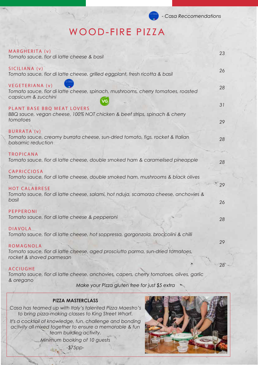## WOOD-FIRE PIZZA

| MARGHERITA (v)<br>Tomato sauce, fior di latte cheese & basil                                                               | 23              |
|----------------------------------------------------------------------------------------------------------------------------|-----------------|
| SICILIANA (v)<br>Tomato sauce, fior di latte cheese, grilled eggplant, fresh ricotta & basil                               | 26              |
| VEGETERIANA (v)<br>Tomato sauce, fior di latte cheese, spinach, mushrooms, cherry tomatoes, roasted<br>capsicum & zucchini | 28              |
| PLANT BASE BBQ MEAT LOVERS<br>BBQ sauce, vegan cheese, 100% NOT chicken & beef strips, spinach & cherry<br>tomatoes        | 31<br>29        |
| <b>BURRATA (v)</b><br>Tomato sauce, creamy burrata cheese, sun-dried tomato, figs, rocket & Italian<br>balsamic reduction  | 28              |
| <b>TROPICANA</b><br>Tomato sauce, fior di latte cheese, double smoked ham & caramelised pineapple                          | 28              |
| CAPRICCIOSA<br>Tomato sauce, fior di latte cheese, double smoked ham, mushrooms & black olives                             | $^{\circ}29$    |
| <b>HOT CALABRESE</b><br>Tomato sauce, fior di latte cheese, salami, hot nduja, scamorza cheese, anchovies &<br>basil       | 26              |
| PEPPERONI<br>Tomato sauce, fior di latte cheese & pepperoni                                                                | 28              |
| <b>DIAVOLA</b><br>Tomato sauce, fior di latte cheese, hot soppressa, gorgonzola, broccolini & chilli                       |                 |
| ROMAGNOLA<br>Tomato sauce, fior di latte cheese, aged prosciutto parma, sun-dried tomatoes,<br>rocket & shaved parmesan    | 29              |
| <b>ACCIUGHE</b><br>Tomato sauce, fior di latte cheese, anchovies, capers, cherry tomatoes, olives, garlic                  | 28 <sup>°</sup> |
| & oregano<br>Make your Pizza gluten free for just \$5 extra                                                                |                 |

#### **PIZZA MASTERCLASS**

*Casa has teamed up with Italy's talented Pizza Maestro's to bring pizza-making classes to King Street Wharf.*

*It's a cocktail of knowledge, fun, challenge and bonding activity all mixed together to ensure a memorable & fun team building activity.* 

*Minimum booking of 10 guests*

*-\$75pp-*

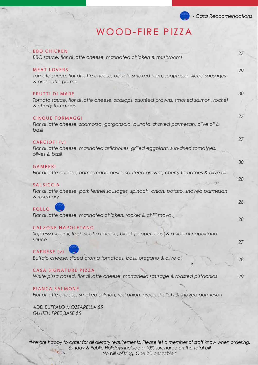

# WOOD-FIRE PIZZA

| <b>BBQ CHICKEN</b><br>BBQ sauce, fior di latte cheese, marinated chicken & mushrooms                                              | 27       |
|-----------------------------------------------------------------------------------------------------------------------------------|----------|
| <b>MEAT LOVERS</b><br>Tomato sauce, fior di latte cheese, double smoked ham, soppressa, sliced sausages<br>& prosciutto parma     | 29       |
| <b>FRUTTI DI MARE</b><br>Tomato sauce, fior di latte cheese, scallops, sautéed prawns, smoked salmon, rocket<br>& cherry tomatoes | 30       |
| <b>CINQUE FORMAGGI</b><br>Fior di latte cheese, scamorza, gorgonzola, burrata, shaved parmesan, olive oil &<br>basil              | 27       |
| CARCIOFI <sub>(v)</sub><br>Fior di latte cheese, marinated artichokes, grilled eggplant, sun-dried tomatoes,<br>olives & basil    | 27       |
| GAMBERI<br>Fior di latte cheese, home-made pesto, sautéed prawns, cherry tomatoes & olive oil                                     | 30       |
| <b>SALSICCIA</b><br>Fior di latte cheese, pork fennel sausages, spinach, onion, potato, shaved parmesan<br>& rosemary             | 28       |
| <b>POLLO</b><br>Fior di latte cheese, marinated chicken, rocket & chilli mayo                                                     | 28       |
| CALZONE NAPOLETANO<br>Sopressa salami, fresh ricotta cheese, black pepper, basil & a side of napolitana<br>sauce                  | 28<br>27 |
| CAPRESE (v)<br>Buffalo cheese, sliced aroma tomatoes, basil, oregano & olive oil                                                  | 28       |
| CASA SIGNATURE PIZZA<br>White pizza based, fior di latte cheese, mortadella sausage & roasted pistachios                          | 29       |
| <b>BIANCA SALMONE</b><br>Fior di latte cheese, smoked salmon, red onion, green shallots & shaved parmesan                         |          |
| ADD BUFFALO MOZZARELLA \$5<br><b>GLUTEN FREE BASE \$5</b>                                                                         |          |
|                                                                                                                                   |          |

*\*We are happy to cater for all dietary requirements, Please let a member of staff know when ordering. Sunday & Public Holidays include a 10% surcharge on the total bill No bill splitting, One bill per table.\**